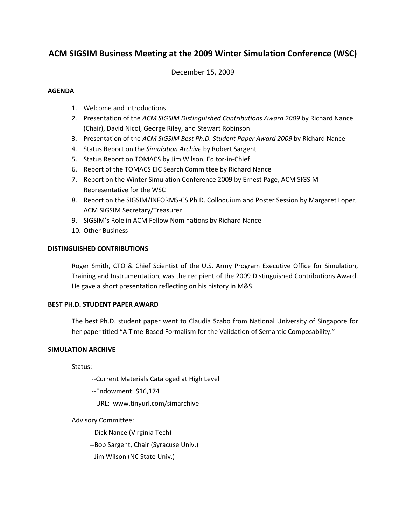# **ACM SIGSIM Business Meeting at the 2009 Winter Simulation Conference (WSC)**

December 15, 2009

## **AGENDA**

- 1. Welcome and Introductions
- 2. Presentation of the *ACM SIGSIM Distinguished Contributions Award 2009* by Richard Nance (Chair), David Nicol, George Riley, and Stewart Robinson
- 3. Presentation of the *ACM SIGSIM Best Ph.D. Student Paper Award 2009* by Richard Nance
- 4. Status Report on the *Simulation Archive* by Robert Sargent
- 5. Status Report on TOMACS by Jim Wilson, Editor‐in‐Chief
- 6. Report of the TOMACS EIC Search Committee by Richard Nance
- 7. Report on the Winter Simulation Conference 2009 by Ernest Page, ACM SIGSIM Representative for the WSC
- 8. Report on the SIGSIM/INFORMS‐CS Ph.D. Colloquium and Poster Session by Margaret Loper, ACM SIGSIM Secretary/Treasurer
- 9. SIGSIM's Role in ACM Fellow Nominations by Richard Nance
- 10. Other Business

## **DISTINGUISHED CONTRIBUTIONS**

Roger Smith, CTO & Chief Scientist of the U.S. Army Program Executive Office for Simulation, Training and Instrumentation, was the recipient of the 2009 Distinguished Contributions Award. He gave a short presentation reflecting on his history in M&S.

## **BEST PH.D. STUDENT PAPER AWARD**

The best Ph.D. student paper went to Claudia Szabo from National University of Singapore for her paper titled "A Time‐Based Formalism for the Validation of Semantic Composability."

# **SIMULATION ARCHIVE**

Status:

- ‐‐Current Materials Cataloged at High Level
- ‐‐Endowment: \$16,174
- ‐‐URL: www.tinyurl.com/simarchive

# Advisory Committee:

‐‐Dick Nance (Virginia Tech)

‐‐Bob Sargent, Chair (Syracuse Univ.)

‐‐Jim Wilson (NC State Univ.)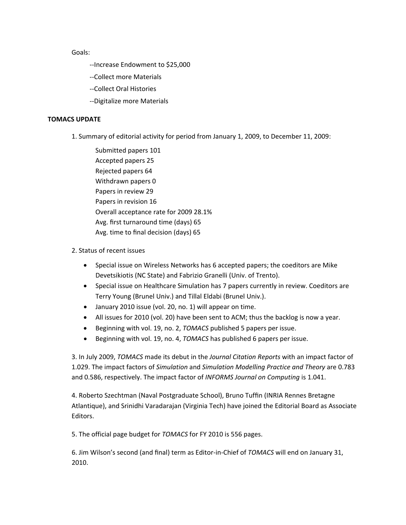Goals:

- ‐‐Increase Endowment to \$25,000
- ‐‐Collect more Materials
- ‐‐Collect Oral Histories
- ‐‐Digitalize more Materials

#### **TOMACS UPDATE**

- 1. Summary of editorial activity for period from January 1, 2009, to December 11, 2009:
	- Submitted papers 101 Accepted papers 25 Rejected papers 64 Withdrawn papers 0 Papers in review 29 Papers in revision 16 Overall acceptance rate for 2009 28.1% Avg. first turnaround time (days) 65 Avg. time to final decision (days) 65

## 2. Status of recent issues

- Special issue on Wireless Networks has 6 accepted papers; the coeditors are Mike Devetsikiotis (NC State) and Fabrizio Granelli (Univ. of Trento).
- Special issue on Healthcare Simulation has 7 papers currently in review. Coeditors are Terry Young (Brunel Univ.) and Tillal Eldabi (Brunel Univ.).
- January 2010 issue (vol. 20, no. 1) will appear on time.
- All issues for 2010 (vol. 20) have been sent to ACM; thus the backlog is now a year.
- Beginning with vol. 19, no. 2, *TOMACS* published 5 papers per issue.
- Beginning with vol. 19, no. 4, *TOMACS* has published 6 papers per issue.

3. In July 2009, *TOMACS* made its debut in the *Journal Citation Reports* with an impact factor of 1.029. The impact factors of *Simulation* and *Simulation Modelling Practice and Theory* are 0.783 and 0.586, respectively. The impact factor of *INFORMS Journal on Computing* is 1.041.

4. Roberto Szechtman (Naval Postgraduate School), Bruno Tuffin (INRIA Rennes Bretagne Atlantique), and Srinidhi Varadarajan (Virginia Tech) have joined the Editorial Board as Associate Editors.

5. The official page budget for *TOMACS* for FY 2010 is 556 pages.

6. Jim Wilson's second (and final) term as Editor‐in‐Chief of *TOMACS* will end on January 31, 2010.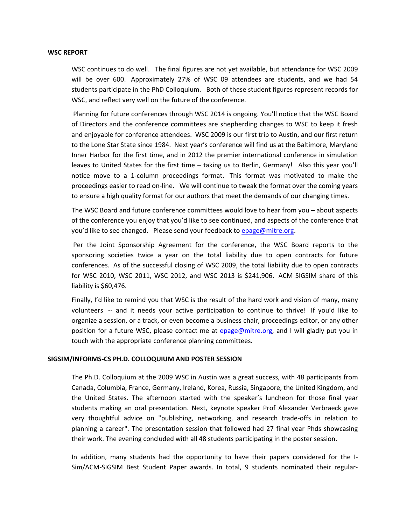#### **WSC REPORT**

WSC continues to do well. The final figures are not yet available, but attendance for WSC 2009 will be over 600. Approximately 27% of WSC 09 attendees are students, and we had 54 students participate in the PhD Colloquium. Both of these student figures represent records for WSC, and reflect very well on the future of the conference.

Planning for future conferences through WSC 2014 is ongoing. You'll notice that the WSC Board of Directors and the conference committees are shepherding changes to WSC to keep it fresh and enjoyable for conference attendees. WSC 2009 is our first trip to Austin, and our first return to the Lone Star State since 1984. Next year's conference will find us at the Baltimore, Maryland Inner Harbor for the first time, and in 2012 the premier international conference in simulation leaves to United States for the first time – taking us to Berlin, Germany! Also this year you'll notice move to a 1‐column proceedings format. This format was motivated to make the proceedings easier to read on-line. We will continue to tweak the format over the coming years to ensure a high quality format for our authors that meet the demands of our changing times.

The WSC Board and future conference committees would love to hear from you – about aspects of the conference you enjoy that you'd like to see continued, and aspects of the conference that you'd like to see changed. Please send your feedback to epage@mitre.org.

Per the Joint Sponsorship Agreement for the conference, the WSC Board reports to the sponsoring societies twice a year on the total liability due to open contracts for future conferences. As of the successful closing of WSC 2009, the total liability due to open contracts for WSC 2010, WSC 2011, WSC 2012, and WSC 2013 is \$241,906. ACM SIGSIM share of this liability is \$60,476.

Finally, I'd like to remind you that WSC is the result of the hard work and vision of many, many volunteers -- and it needs your active participation to continue to thrive! If you'd like to organize a session, or a track, or even become a business chair, proceedings editor, or any other position for a future WSC, please contact me at epage@mitre.org, and I will gladly put you in touch with the appropriate conference planning committees.

#### **SIGSIM/INFORMS‐CS PH.D. COLLOQUIUM AND POSTER SESSION**

The Ph.D. Colloquium at the 2009 WSC in Austin was a great success, with 48 participants from Canada, Columbia, France, Germany, Ireland, Korea, Russia, Singapore, the United Kingdom, and the United States. The afternoon started with the speaker's luncheon for those final year students making an oral presentation. Next, keynote speaker Prof Alexander Verbraeck gave very thoughtful advice on "publishing, networking, and research trade‐offs in relation to planning a career". The presentation session that followed had 27 final year Phds showcasing their work. The evening concluded with all 48 students participating in the poster session.

In addition, many students had the opportunity to have their papers considered for the I-Sim/ACM-SIGSIM Best Student Paper awards. In total, 9 students nominated their regular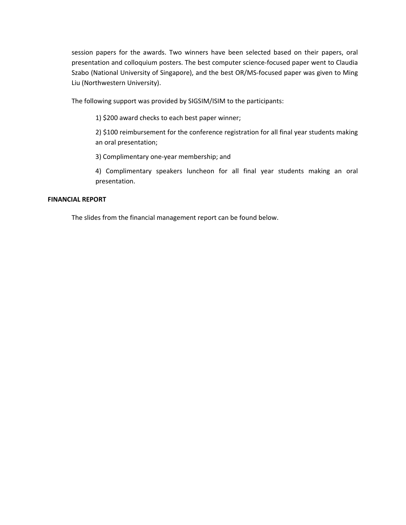session papers for the awards. Two winners have been selected based on their papers, oral presentation and colloquium posters. The best computer science-focused paper went to Claudia Szabo (National University of Singapore), and the best OR/MS‐focused paper was given to Ming Liu (Northwestern University).

The following support was provided by SIGSIM/ISIM to the participants:

1) \$200 award checks to each best paper winner;

2) \$100 reimbursement for the conference registration for all final year students making an oral presentation;

3) Complimentary one‐year membership; and

4) Complimentary speakers luncheon for all final year students making an oral presentation.

#### **FINANCIAL REPORT**

The slides from the financial management report can be found below.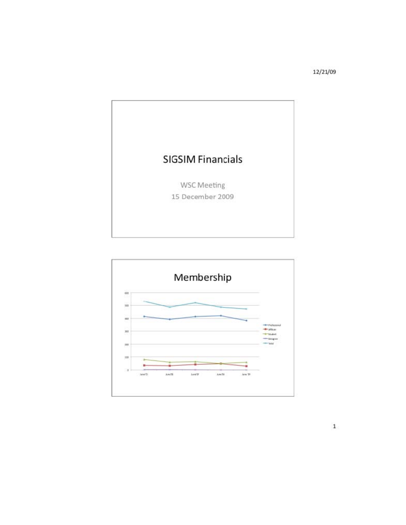12/21/09